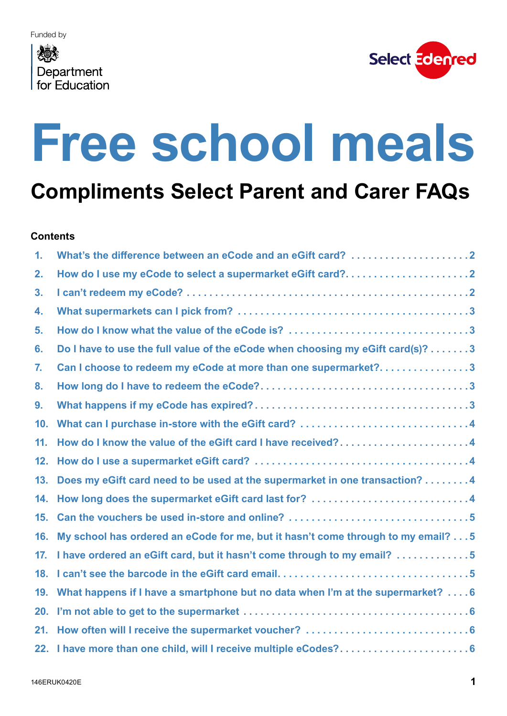#### <span id="page-0-0"></span>心 Department for Education



# **Free school meals**

**Compliments Select Parent and Carer FAQs**

#### **Contents**

| 1.              | What's the difference between an eCode and an eGift card? 2                        |
|-----------------|------------------------------------------------------------------------------------|
| 2.              | How do I use my eCode to select a supermarket eGift card?2                         |
| 3.              |                                                                                    |
| 4.              |                                                                                    |
| 5.              |                                                                                    |
| 6.              | Do I have to use the full value of the eCode when choosing my eGift card(s)? 3     |
| 7.              | Can I choose to redeem my eCode at more than one supermarket?3                     |
| 8.              |                                                                                    |
| 9.              |                                                                                    |
| 10 <sub>1</sub> |                                                                                    |
| 11.             | How do I know the value of the eGift card I have received?4                        |
| 12.             |                                                                                    |
| 13.             | Does my eGift card need to be used at the supermarket in one transaction? 4        |
| 14.             | How long does the supermarket eGift card last for? 4                               |
| 15.             |                                                                                    |
| 16.             | My school has ordered an eCode for me, but it hasn't come through to my email? 5   |
| 17.             | I have ordered an eGift card, but it hasn't come through to my email? 5            |
| 18.             |                                                                                    |
|                 | 19. What happens if I have a smartphone but no data when I'm at the supermarket? 6 |
| 20.             |                                                                                    |
| 21.             |                                                                                    |
|                 |                                                                                    |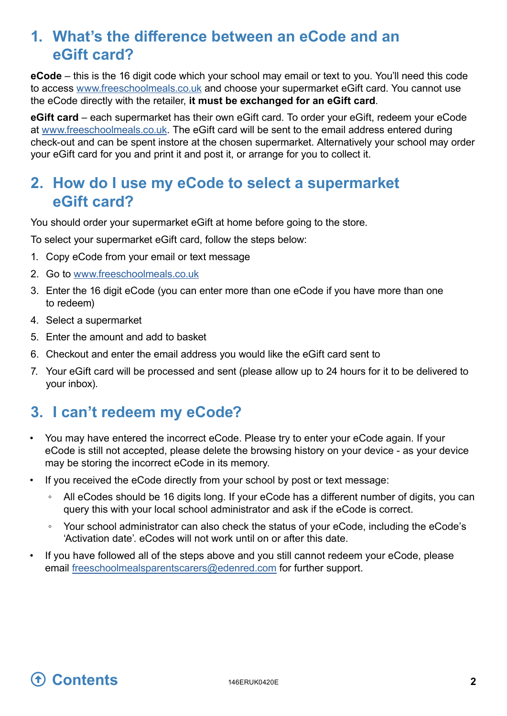### <span id="page-1-0"></span>**1. What's the difference between an eCode and an eGift card?**

**eCode** – this is the 16 digit code which your school may email or text to you. You'll need this code to access [www.freeschoolmeals.co.uk](http://www.freeschoolmeals.co.uk/) and choose your supermarket eGift card. You cannot use the eCode directly with the retailer, **it must be exchanged for an eGift card**.

**eGift card** – each supermarket has their own eGift card. To order your eGift, redeem your eCode at w[ww.freeschoolmeals.co.uk](http://www.freeschoolmeals.co.uk/). The eGift card will be sent to the email address entered during check-out and can be spent instore at the chosen supermarket. Alternatively your school may order your eGift card for you and print it and post it, or arrange for you to collect it.

#### **2. How do I use my eCode to select a supermarket eGift card?**

You should order your supermarket eGift at home before going to the store.

To select your supermarket eGift card, follow the steps below:

- 1. Copy eCode from your email or text message
- 2. Go to [www.freeschoolmeals.co.uk](http://www.freeschoolmeals.co.uk/)
- 3. Enter the 16 digit eCode (you can enter more than one eCode if you have more than one to redeem)
- 4. Select a supermarket
- 5. Enter the amount and add to basket
- 6. Checkout and enter the email address you would like the eGift card sent to
- 7. Your eGift card will be processed and sent (please allow up to 24 hours for it to be delivered to your inbox).

### <span id="page-1-1"></span>**3. I** can't redeem my eCode?

- You may have entered the incorrect eCode. Please try to enter your eCode again. If your eCode is still not accepted, please delete the browsing history on your device - as your device may be storing the incorrect eCode in its memory.
- If you received the eCode directly from your school by post or text message:
	- All eCodes should be 16 digits long. If your eCode has a different number of digits, you can query this with your local school administrator and ask if the eCode is correct.
	- Your school administrator can also check the status of your eCode, including the eCode's 'Activation date'. eCodes will not work until on or after this date.
- If you have followed all of the steps above and you still cannot redeem your eCode, please email [freeschoolmealsparentscarers@edenred.com](mailto:freeschoolmealsparentscarers@edenred.com) for further support.

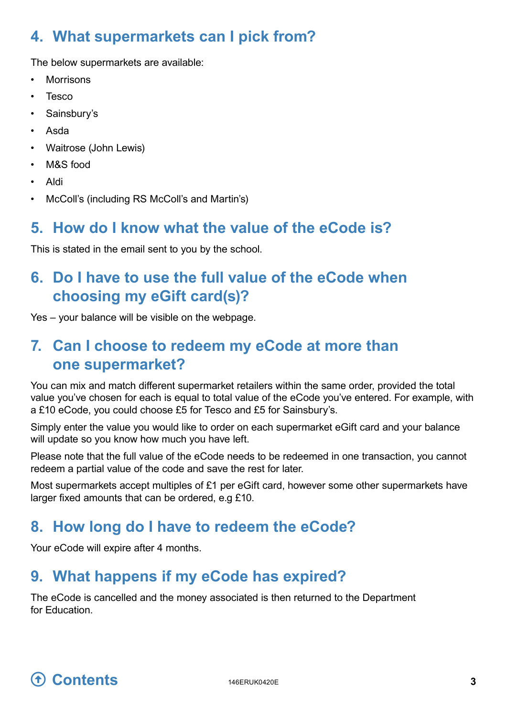# <span id="page-2-0"></span>**4. What supermarkets can I pick from?**

The below supermarkets are available:

- **Morrisons**
- Tesco
- Sainsbury's
- Asda
- Waitrose (John Lewis)
- M&S food
- Aldi
- McColl's (including RS McColl's and Martin's)

#### **5. How do I know what the value of the eCode is?**

This is stated in the email sent to you by the school.

# **6. Do I have to use the full value of the eCode when choosing my eGift card(s)?**

Yes – your balance will be visible on the webpage.

# **7. Can I choose to redeem my eCode at more than one supermarket?**

You can mix and match different supermarket retailers within the same order, provided the total value you've chosen for each is equal to total value of the eCode you've entered. For example, with a £10 eCode, you could choose £5 for Tesco and £5 for Sainsbury's.

Simply enter the value you would like to order on each supermarket eGift card and your balance will update so you know how much you have left.

Please note that the full value of the eCode needs to be redeemed in one transaction, you cannot redeem a partial value of the code and save the rest for later.

Most supermarkets accept multiples of £1 per eGift card, however some other supermarkets have larger fixed amounts that can be ordered, e.g £10.

# **8. How long do I have to redeem the eCode?**

Your eCode will expire after 4 months.

# **9. What happens if my eCode has expired?**

The eCode is cancelled and the money associated is then returned to the Department for Education.

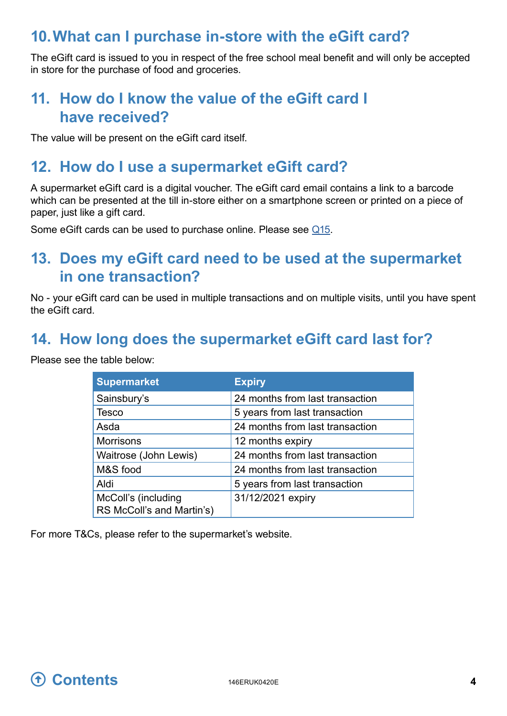### <span id="page-3-0"></span>**10. What can I purchase in-store with the eGift card?**

The eGift card is issued to you in respect of the free school meal benefit and will only be accepted in store for the purchase of food and groceries.

### **11. How do I know the value of the eGift card I have received?**

The value will be present on the eGift card itself.

#### **12. How do I use a supermarket eGift card?**

A supermarket eGift card is a digital voucher. The eGift card email contains a link to a barcode which can be presented at the till in-store either on a smartphone screen or printed on a piece of paper, just like a gift card.

Some eGift cards can be used to purchase online. Please see Q15.

#### **13. Does my eGift card need to be used at the supermarket in one transaction?**

No - your eGift card can be used in multiple transactions and on multiple visits, until you have spent the eGift card.

#### **14. How long does the supermarket eGift card last for?**

Please see the table below:

<span id="page-3-1"></span>

| <b>Supermarket</b>                               | <b>Expiry</b>                   |  |
|--------------------------------------------------|---------------------------------|--|
| Sainsbury's                                      | 24 months from last transaction |  |
| <b>Tesco</b>                                     | 5 years from last transaction   |  |
| Asda                                             | 24 months from last transaction |  |
| <b>Morrisons</b>                                 | 12 months expiry                |  |
| Waitrose (John Lewis)                            | 24 months from last transaction |  |
| M&S food                                         | 24 months from last transaction |  |
| Aldi                                             | 5 years from last transaction   |  |
| McColl's (including<br>RS McColl's and Martin's) | 31/12/2021 expiry               |  |

For more T&Cs, please refer to the supermarket's website.

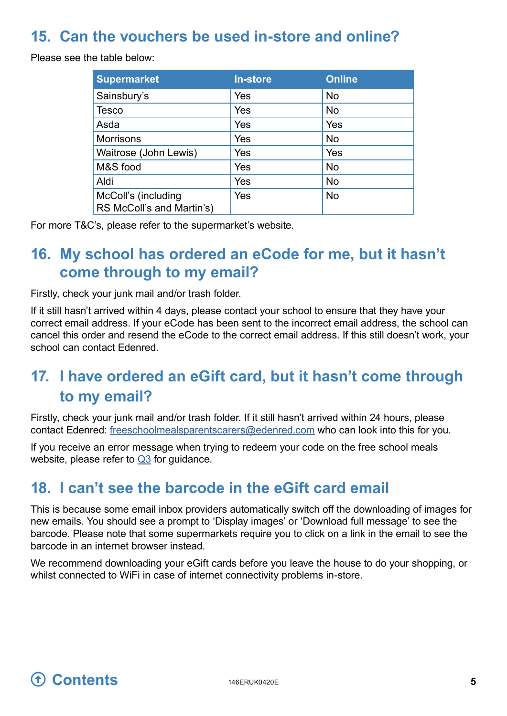### <span id="page-4-0"></span>**15. Can the vouchers be used in-store and online?**

Please see the table below:

| <b>Supermarket</b>                               | <b>In-store</b> | <b>Online</b> |
|--------------------------------------------------|-----------------|---------------|
| Sainsbury's                                      | Yes             | <b>No</b>     |
| <b>Tesco</b>                                     | Yes             | <b>No</b>     |
| Asda                                             | Yes             | Yes           |
| <b>Morrisons</b>                                 | Yes             | No            |
| Waitrose (John Lewis)                            | Yes             | Yes           |
| M&S food                                         | Yes             | <b>No</b>     |
| Aldi                                             | Yes             | <b>No</b>     |
| McColl's (including<br>RS McColl's and Martin's) | Yes             | <b>No</b>     |

For more T&C's, please refer to the supermarket's website.

# **16. My school has ordered an eCode for me, but it hasn't come through to my email?**

Firstly, check your junk mail and/or trash folder.

If it still hasn't arrived within 4 days, please contact your school to ensure that they have your correct email address. If your eCode has been sent to the incorrect email address, the school can cancel this order and resend the eCode to the correct email address. If this still doesn't work, your school can contact Edenred.

# **17. I have ordered an eGift card, but it hasn't come through to my email?**

Firstly, check your junk mail and/or trash folder. If it still hasn't arrived within 24 hours, please contact Edenred: [freeschoolmealsparentscarers@edenred.com](mailto:freeschoolmealsparentscarers@edenred.com) who can look into this for you.

If you receive an error message when trying to redeem your code on the free school meals website, please refer to [Q3](#page-1-1) for guidance.

# **18. I can't see the barcode in the eGift card email**

This is because some email inbox providers automatically switch off the downloading of images for new emails. You should see a prompt to 'Display images' or 'Download full message' to see the barcode. Please note that some supermarkets require you to click on a link in the email to see the barcode in an internet browser instead.

We recommend downloading your eGift cards before you leave the house to do your shopping, or whilst connected to WiFi in case of internet connectivity problems in-store.